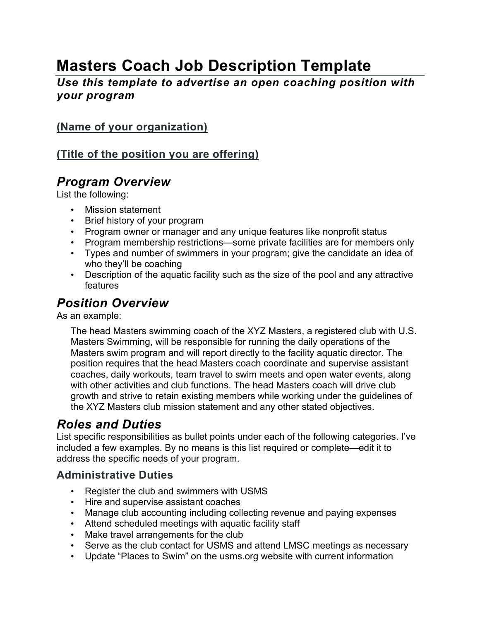# **Masters Coach Job Description Template**

*Use this template to advertise an open coaching position with your program*

#### **(Name of your organization)**

#### **(Title of the position you are offering)**

#### *Program Overview*

List the following:

- Mission statement
- Brief history of your program
- Program owner or manager and any unique features like nonprofit status
- Program membership restrictions—some private facilities are for members only
- Types and number of swimmers in your program; give the candidate an idea of who they'll be coaching
- Description of the aquatic facility such as the size of the pool and any attractive features

### *Position Overview*

As an example:

The head Masters swimming coach of the XYZ Masters, a registered club with U.S. Masters Swimming, will be responsible for running the daily operations of the Masters swim program and will report directly to the facility aquatic director. The position requires that the head Masters coach coordinate and supervise assistant coaches, daily workouts, team travel to swim meets and open water events, along with other activities and club functions. The head Masters coach will drive club growth and strive to retain existing members while working under the guidelines of the XYZ Masters club mission statement and any other stated objectives.

### *Roles and Duties*

List specific responsibilities as bullet points under each of the following categories. I've included a few examples. By no means is this list required or complete—edit it to address the specific needs of your program.

#### **Administrative Duties**

- Register the club and swimmers with USMS
- Hire and supervise assistant coaches
- Manage club accounting including collecting revenue and paying expenses
- Attend scheduled meetings with aquatic facility staff
- Make travel arrangements for the club
- Serve as the club contact for USMS and attend LMSC meetings as necessary
- Update "Places to Swim" on the usms.org website with current information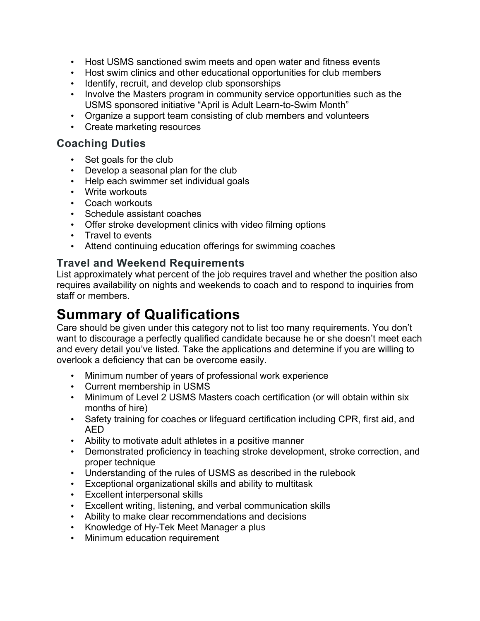- Host USMS sanctioned swim meets and open water and fitness events
- Host swim clinics and other educational opportunities for club members
- Identify, recruit, and develop club sponsorships
- Involve the Masters program in community service opportunities such as the USMS sponsored initiative "April is Adult Learn-to-Swim Month"
- Organize a support team consisting of club members and volunteers
- Create marketing resources

#### **Coaching Duties**

- Set goals for the club
- Develop a seasonal plan for the club
- Help each swimmer set individual goals
- Write workouts
- Coach workouts
- Schedule assistant coaches
- Offer stroke development clinics with video filming options
- Travel to events
- Attend continuing education offerings for swimming coaches

#### **Travel and Weekend Requirements**

List approximately what percent of the job requires travel and whether the position also requires availability on nights and weekends to coach and to respond to inquiries from staff or members.

### **Summary of Qualifications**

Care should be given under this category not to list too many requirements. You don't want to discourage a perfectly qualified candidate because he or she doesn't meet each and every detail you've listed. Take the applications and determine if you are willing to overlook a deficiency that can be overcome easily.

- Minimum number of years of professional work experience
- Current membership in USMS
- Minimum of Level 2 USMS Masters coach certification (or will obtain within six months of hire)
- Safety training for coaches or lifeguard certification including CPR, first aid, and AED
- Ability to motivate adult athletes in a positive manner
- Demonstrated proficiency in teaching stroke development, stroke correction, and proper technique
- Understanding of the rules of USMS as described in the rulebook
- Exceptional organizational skills and ability to multitask
- Excellent interpersonal skills
- Excellent writing, listening, and verbal communication skills
- Ability to make clear recommendations and decisions
- Knowledge of Hy-Tek Meet Manager a plus
- Minimum education requirement